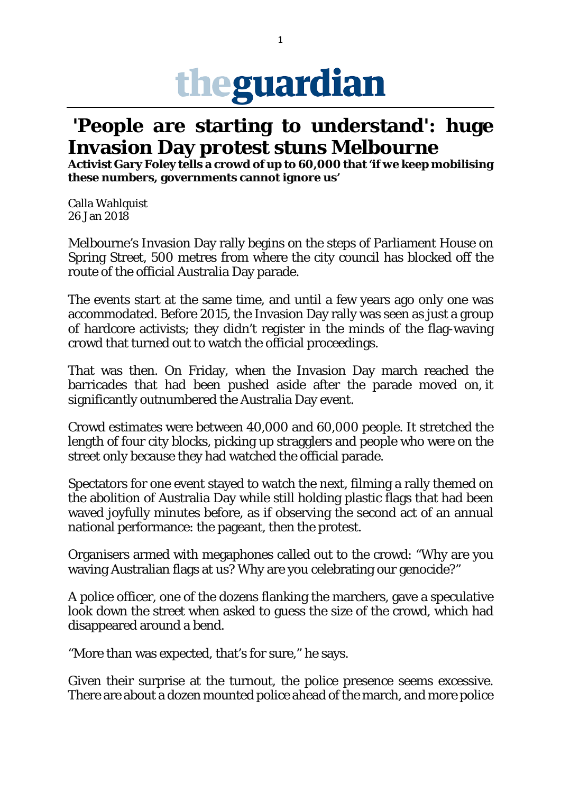## theguardian

## **'People are starting to understand': huge Invasion Day protest stuns Melbourne**

**Activist Gary Foley tells a crowd of up to 60,000 that 'if we keep mobilising these numbers, governments cannot ignore us'**

Calla Wahlquist 26 Jan 2018

Melbourne's Invasion Day rally begins on the steps of Parliament House on Spring Street, 500 metres from where the city council has blocked off the route of the official Australia Day parade.

The events start at the same time, and until a few years ago only one was accommodated. Before 2015, the Invasion Day rally was seen as just a group of hardcore activists; they didn't register in the minds of the flag-waving crowd that turned out to watch the official proceedings.

That was then. On Friday, when the Invasion Day march reached the barricades that had been pushed aside after the parade moved on, it significantly outnumbered the Australia Day event.

Crowd estimates were between 40,000 and 60,000 people. It stretched the length of four city blocks, picking up stragglers and people who were on the street only because they had watched the official parade.

Spectators for one event stayed to watch the next, filming a rally themed on the abolition of Australia Day while still holding plastic flags that had been waved joyfully minutes before, as if observing the second act of an annual national performance: the pageant, then the protest.

Organisers armed with megaphones called out to the crowd: "Why are you waving Australian flags at us? Why are you celebrating our genocide?"

A police officer, one of the dozens flanking the marchers, gave a speculative look down the street when asked to guess the size of the crowd, which had disappeared around a bend.

"More than was expected, that's for sure," he says.

Given their surprise at the turnout, the police presence seems excessive. There are about a dozen mounted police ahead of the march, and more police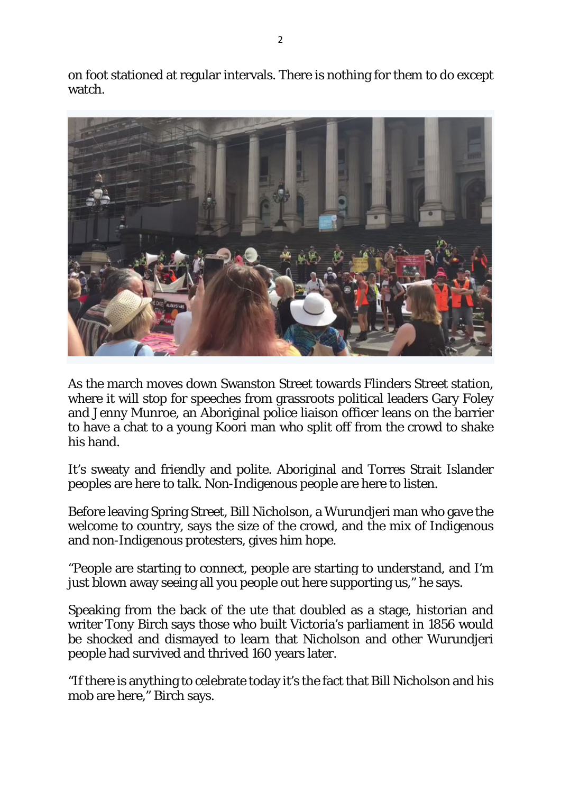on foot stationed at regular intervals. There is nothing for them to do except watch.



As the march moves down Swanston Street towards Flinders Street station, where it will stop for speeches from grassroots political leaders Gary Foley and Jenny Munroe, an Aboriginal police liaison officer leans on the barrier to have a chat to a young Koori man who split off from the crowd to shake his hand.

It's sweaty and friendly and polite. Aboriginal and Torres Strait Islander peoples are here to talk. Non-Indigenous people are here to listen.

Before leaving Spring Street, Bill Nicholson, a Wurundjeri man who gave the welcome to country, says the size of the crowd, and the mix of Indigenous and non-Indigenous protesters, gives him hope.

"People are starting to connect, people are starting to understand, and I'm just blown away seeing all you people out here supporting us," he says.

Speaking from the back of the ute that doubled as a stage, historian and writer Tony Birch says those who built Victoria's parliament in 1856 would be shocked and dismayed to learn that Nicholson and other Wurundjeri people had survived and thrived 160 years later.

"If there is anything to celebrate today it's the fact that Bill Nicholson and his mob are here," Birch says.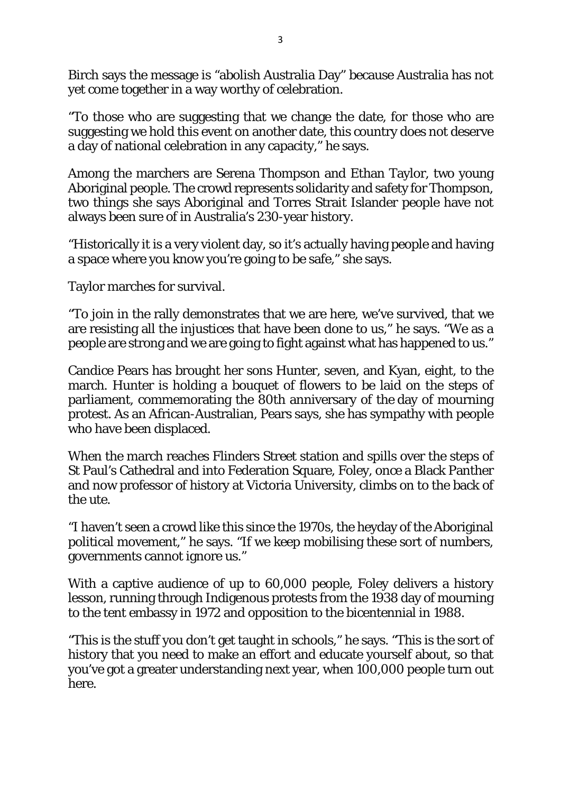Birch says the message is "abolish Australia Day" because Australia has not yet come together in a way worthy of celebration.

"To those who are suggesting that we change the date, for those who are suggesting we hold this event on another date, this country does not deserve a day of national celebration in any capacity," he says.

Among the marchers are Serena Thompson and Ethan Taylor, two young Aboriginal people. The crowd represents solidarity and safety for Thompson, two things she says Aboriginal and Torres Strait Islander people have not always been sure of in Australia's 230-year history.

"Historically it is a very violent day, so it's actually having people and having a space where you know you're going to be safe," she says.

Taylor marches for survival.

"To join in the rally demonstrates that we are here, we've survived, that we are resisting all the injustices that have been done to us," he says. "We as a people are strong and we are going to fight against what has happened to us."

Candice Pears has brought her sons Hunter, seven, and Kyan, eight, to the march. Hunter is holding a bouquet of flowers to be laid on the steps of parliament, commemorating the 80th anniversary of the day of mourning protest. As an African-Australian, Pears says, she has sympathy with people who have been displaced.

When the march reaches Flinders Street station and spills over the steps of St Paul's Cathedral and into Federation Square, Foley, once a Black Panther and now professor of history at Victoria University, climbs on to the back of the ute.

"I haven't seen a crowd like this since the 1970s, the heyday of the Aboriginal political movement," he says. "If we keep mobilising these sort of numbers, governments cannot ignore us."

With a captive audience of up to 60,000 people, Foley delivers a history lesson, running through Indigenous protests from the 1938 day of mourning to the tent embassy in 1972 and opposition to the bicentennial in 1988.

"This is the stuff you don't get taught in schools," he says. "This is the sort of history that you need to make an effort and educate yourself about, so that you've got a greater understanding next year, when 100,000 people turn out here.